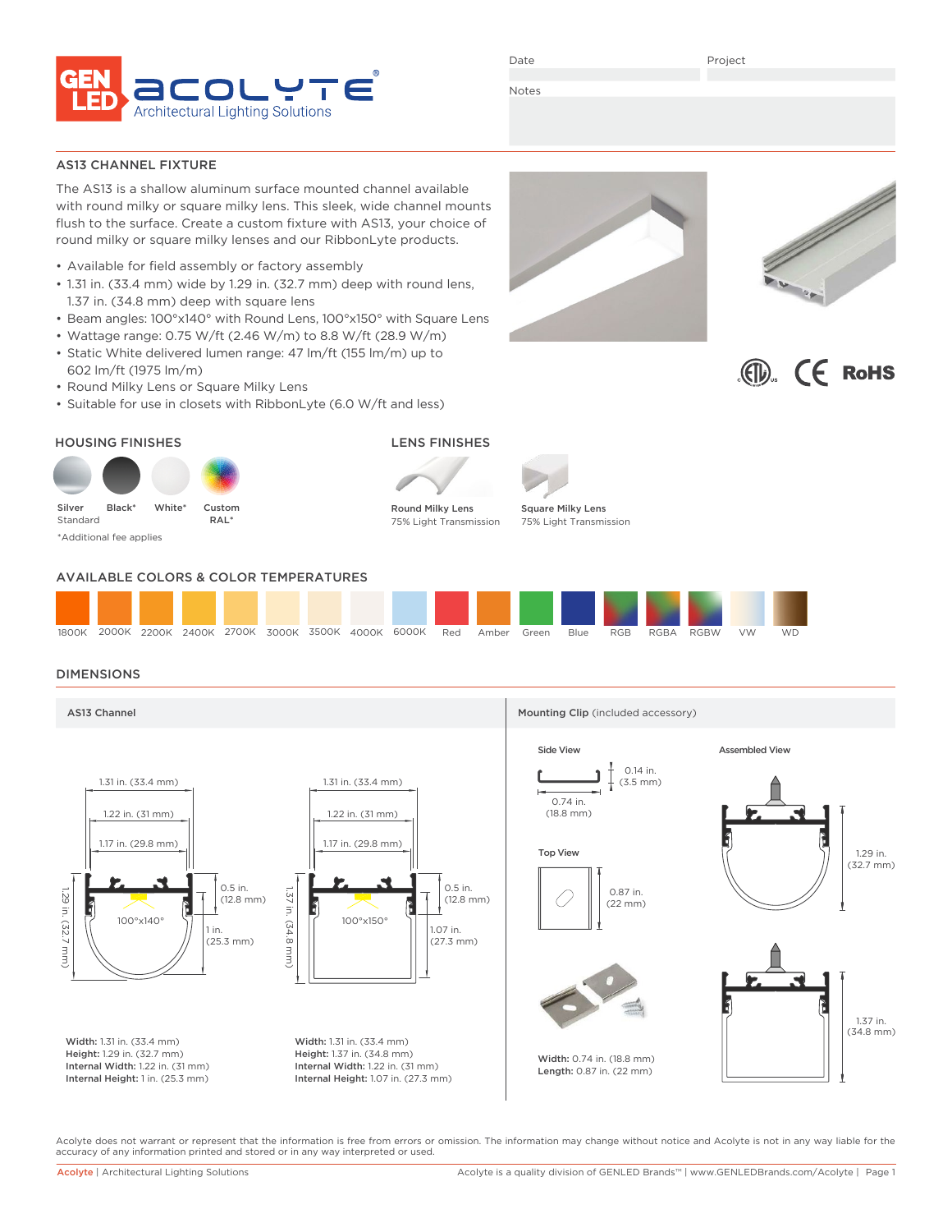

Date

Project

Notes

## AS13 CHANNEL FIXTURE

The AS13 is a shallow aluminum surface mounted channel available with round milky or square milky lens. This sleek, wide channel mounts flush to the surface. Create a custom fixture with AS13, your choice of round milky or square milky lenses and our RibbonLyte products.

- Available for field assembly or factory assembly
- 1.31 in. (33.4 mm) wide by 1.29 in. (32.7 mm) deep with round lens, 1.37 in. (34.8 mm) deep with square lens
- Beam angles: 100°x140° with Round Lens, 100°x150° with Square Lens
- Wattage range: 0.75 W/ft (2.46 W/m) to 8.8 W/ft (28.9 W/m)
- Static White delivered lumen range: 47 lm/ft (155 lm/m) up to 602 lm/ft (1975 lm/m)
- Round Milky Lens or Square Milky Lens
- Suitable for use in closets with RibbonLyte (6.0 W/ft and less)









# AVAILABLE COLORS & COLOR TEMPERATURES



# DIMENSIONS



Acolyte does not warrant or represent that the information is free from errors or omission. The information may change without notice and Acolyte is not in any way liable for the accuracy of any information printed and stored or in any way interpreted or used.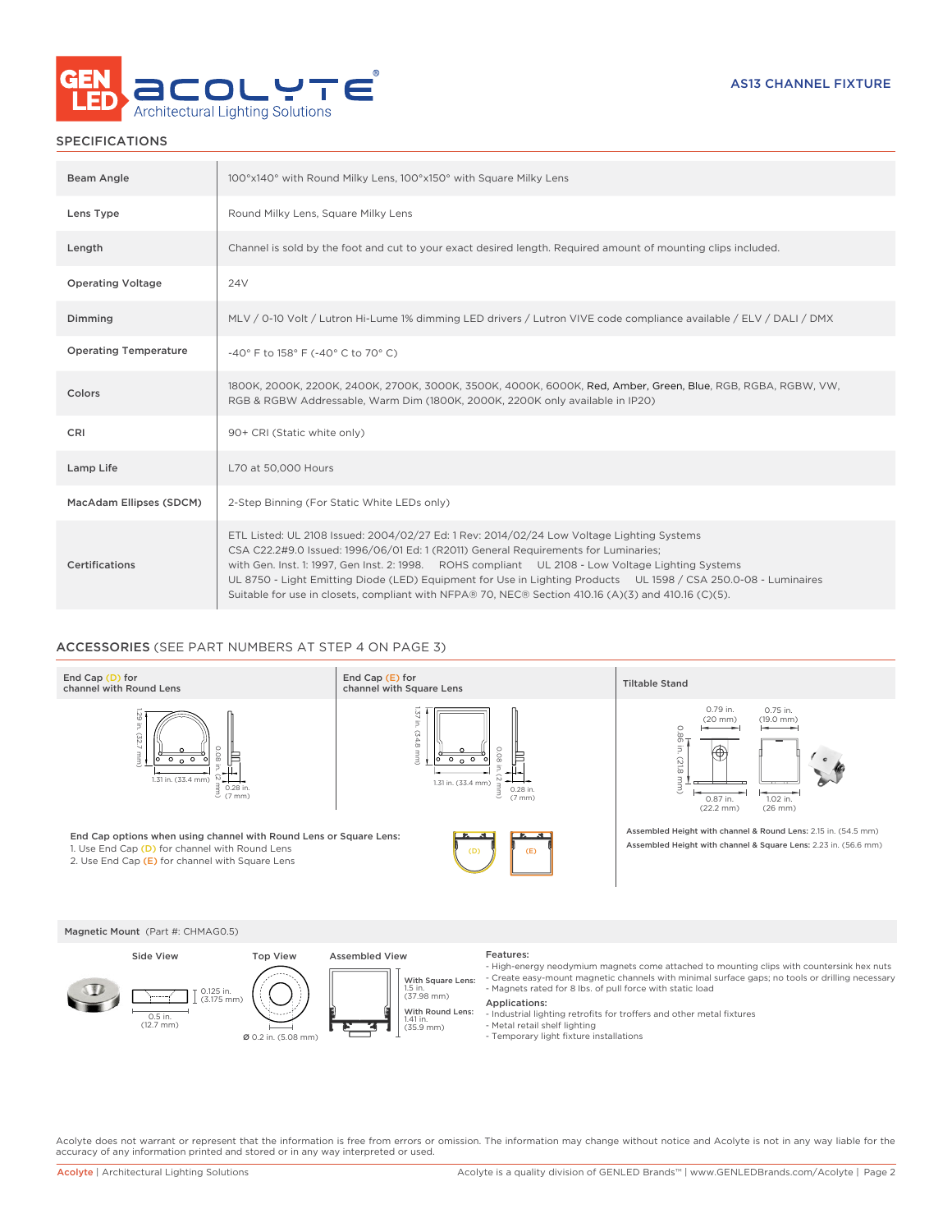

# SPECIFICATIONS

| Beam Angle                   | 100°x140° with Round Milky Lens, 100°x150° with Square Milky Lens                                                                                                                                                                                                                                                                                                                                                                                                                                               |
|------------------------------|-----------------------------------------------------------------------------------------------------------------------------------------------------------------------------------------------------------------------------------------------------------------------------------------------------------------------------------------------------------------------------------------------------------------------------------------------------------------------------------------------------------------|
| Lens Type                    | Round Milky Lens, Square Milky Lens                                                                                                                                                                                                                                                                                                                                                                                                                                                                             |
| Length                       | Channel is sold by the foot and cut to your exact desired length. Required amount of mounting clips included.                                                                                                                                                                                                                                                                                                                                                                                                   |
| <b>Operating Voltage</b>     | 24 <sub>V</sub>                                                                                                                                                                                                                                                                                                                                                                                                                                                                                                 |
| Dimming                      | MLV / 0-10 Volt / Lutron Hi-Lume 1% dimming LED drivers / Lutron VIVE code compliance available / ELV / DALI / DMX                                                                                                                                                                                                                                                                                                                                                                                              |
| <b>Operating Temperature</b> | -40° F to 158° F (-40° C to 70° C)                                                                                                                                                                                                                                                                                                                                                                                                                                                                              |
| Colors                       | 1800K, 2000K, 2200K, 2400K, 2700K, 3000K, 3500K, 4000K, 6000K, Red, Amber, Green, Blue, RGB, RGBA, RGBW, VW,<br>RGB & RGBW Addressable, Warm Dim (1800K, 2000K, 2200K only available in IP20)                                                                                                                                                                                                                                                                                                                   |
| CRI                          | 90+ CRI (Static white only)                                                                                                                                                                                                                                                                                                                                                                                                                                                                                     |
| Lamp Life                    | L70 at 50,000 Hours                                                                                                                                                                                                                                                                                                                                                                                                                                                                                             |
| MacAdam Ellipses (SDCM)      | 2-Step Binning (For Static White LEDs only)                                                                                                                                                                                                                                                                                                                                                                                                                                                                     |
| <b>Certifications</b>        | ETL Listed: UL 2108 Issued: 2004/02/27 Ed: 1 Rev: 2014/02/24 Low Voltage Lighting Systems<br>CSA C22.2#9.0 Issued: 1996/06/01 Ed: 1 (R2011) General Requirements for Luminaries;<br>with Gen. Inst. 1: 1997, Gen Inst. 2: 1998. ROHS compliant UL 2108 - Low Voltage Lighting Systems<br>UL 8750 - Light Emitting Diode (LED) Equipment for Use in Lighting Products UL 1598 / CSA 250.0-08 - Luminaires<br>Suitable for use in closets, compliant with NFPA® 70, NEC® Section 410.16 (A)(3) and 410.16 (C)(5). |

# ACCESSORIES (SEE PART NUMBERS AT STEP 4 ON PAGE 3)



Magnetic Mount (Part #: CHMAG0.5)



- High-energy neodymium magnets come attached to mounting clips with countersink hex nuts Create easy-mount magnetic channels with minimal surface gaps; no tools or drilling necessary - Magnets rated for 8 lbs. of pull force with static load

### Applications:

- Industrial lighting retrofits for troffers and other metal fixtures
- 
- Metal retail shelf lighting Temporary light fixture installations

Acolyte does not warrant or represent that the information is free from errors or omission. The information may change without notice and Acolyte is not in any way liable for the accuracy of any information printed and stored or in any way interpreted or used.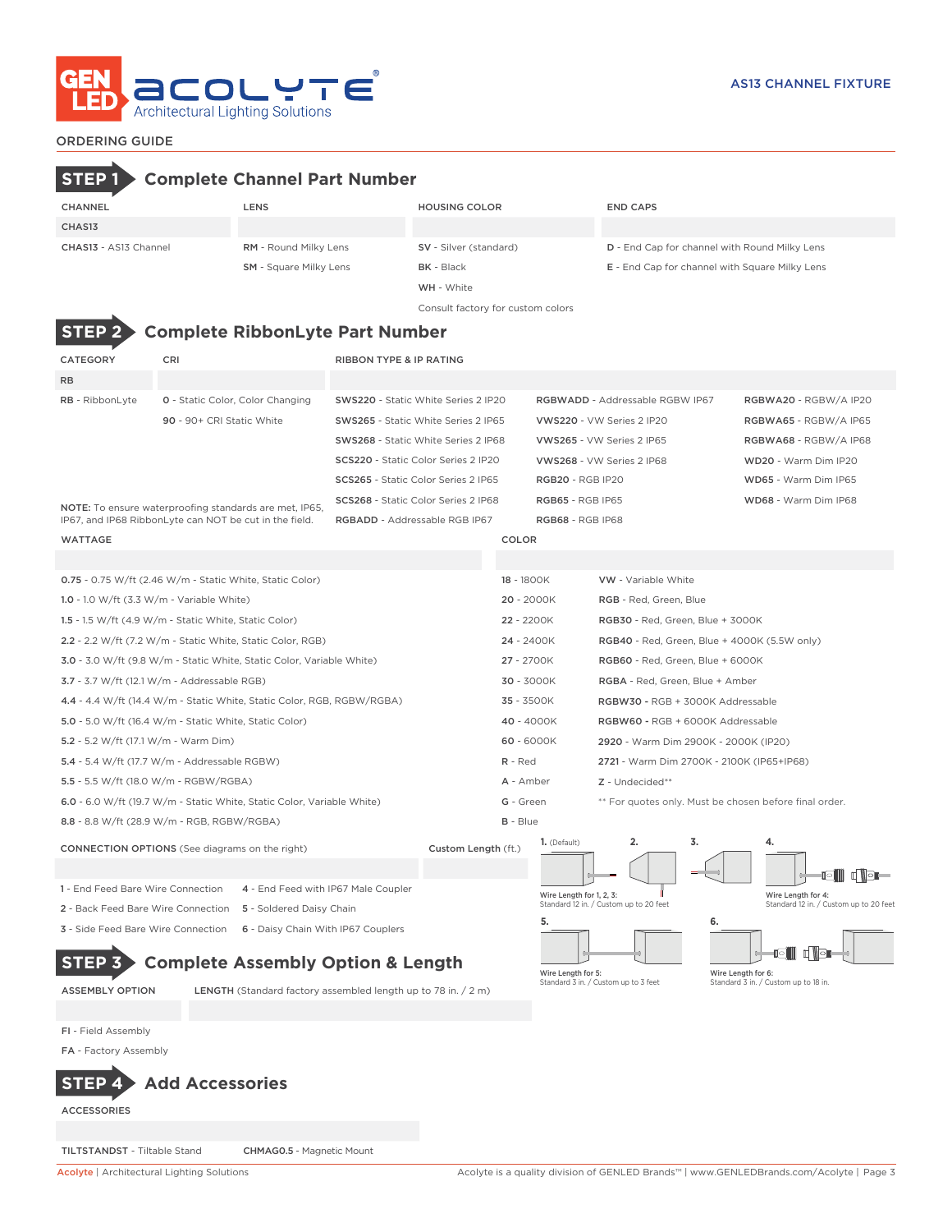

# ORDERING GUIDE

| --------------                                         |                           |                                                                        |                                    |                                                                      |                                                            |                          |                                                |                    |                                                              |  |
|--------------------------------------------------------|---------------------------|------------------------------------------------------------------------|------------------------------------|----------------------------------------------------------------------|------------------------------------------------------------|--------------------------|------------------------------------------------|--------------------|--------------------------------------------------------------|--|
| <b>STEP</b>                                            |                           | <b>Complete Channel Part Number</b>                                    |                                    |                                                                      |                                                            |                          |                                                |                    |                                                              |  |
| <b>CHANNEL</b>                                         |                           | LENS                                                                   |                                    | <b>HOUSING COLOR</b>                                                 |                                                            |                          | <b>END CAPS</b>                                |                    |                                                              |  |
| CHAS13                                                 |                           |                                                                        |                                    |                                                                      |                                                            |                          |                                                |                    |                                                              |  |
| CHAS13 - AS13 Channel                                  |                           | RM - Round Milky Lens                                                  |                                    | <b>SV</b> - Silver (standard)                                        |                                                            |                          | D - End Cap for channel with Round Milky Lens  |                    |                                                              |  |
|                                                        |                           | <b>SM</b> - Square Milky Lens                                          |                                    | <b>BK</b> - Black                                                    |                                                            |                          | E - End Cap for channel with Square Milky Lens |                    |                                                              |  |
|                                                        |                           |                                                                        |                                    | WH - White                                                           |                                                            |                          |                                                |                    |                                                              |  |
|                                                        |                           |                                                                        |                                    | Consult factory for custom colors                                    |                                                            |                          |                                                |                    |                                                              |  |
| <b>STEP</b>                                            |                           | <b>Complete RibbonLyte Part Number</b>                                 |                                    |                                                                      |                                                            |                          |                                                |                    |                                                              |  |
|                                                        |                           |                                                                        |                                    |                                                                      |                                                            |                          |                                                |                    |                                                              |  |
| CATEGORY                                               | CRI                       |                                                                        | <b>RIBBON TYPE &amp; IP RATING</b> |                                                                      |                                                            |                          |                                                |                    |                                                              |  |
| <b>RB</b>                                              |                           |                                                                        |                                    |                                                                      |                                                            |                          |                                                |                    |                                                              |  |
| RB - RibbonLyte                                        |                           | <b>0</b> - Static Color, Color Changing                                |                                    | SWS220 - Static White Series 2 IP20                                  |                                                            |                          | RGBWADD - Addressable RGBW IP67                |                    | RGBWA20 - RGBW/A IP20                                        |  |
|                                                        | 90 - 90+ CRI Static White |                                                                        |                                    | <b>SWS265</b> - Static White Series 2 IP65                           |                                                            |                          | VWS220 - VW Series 2 IP20                      |                    | RGBWA65 - RGBW/A IP65                                        |  |
|                                                        |                           |                                                                        |                                    | SWS268 - Static White Series 2 IP68                                  |                                                            |                          | VWS265 - VW Series 2 IP65                      |                    | RGBWA68 - RGBW/A IP68                                        |  |
|                                                        |                           |                                                                        |                                    | SCS220 - Static Color Series 2 IP20                                  |                                                            |                          | VWS268 - VW Series 2 IP68                      |                    | WD20 - Warm Dim IP20                                         |  |
|                                                        |                           |                                                                        |                                    | SCS265 - Static Color Series 2 IP65                                  |                                                            | <b>RGB20 - RGB IP20</b>  |                                                |                    | WD65 - Warm Dim IP65                                         |  |
| IP67, and IP68 RibbonLyte can NOT be cut in the field. |                           | NOTE: To ensure waterproofing standards are met, IP65,                 |                                    | SCS268 - Static Color Series 2 IP68<br>RGBADD - Addressable RGB IP67 | <b>RGB65 - RGB IP65</b>                                    |                          |                                                |                    | WD68 - Warm Dim IP68                                         |  |
| <b>WATTAGE</b>                                         |                           |                                                                        |                                    |                                                                      | COLOR                                                      | <b>RGB68 - RGB IP68</b>  |                                                |                    |                                                              |  |
|                                                        |                           |                                                                        |                                    |                                                                      |                                                            |                          |                                                |                    |                                                              |  |
|                                                        |                           | 0.75 - 0.75 W/ft (2.46 W/m - Static White, Static Color)               |                                    |                                                                      | 18 - 1800K                                                 |                          | <b>VW</b> - Variable White                     |                    |                                                              |  |
| 1.0 - 1.0 W/ft $(3.3 W/m - Variable White)$            |                           |                                                                        |                                    |                                                                      | $20 - 2000K$                                               |                          | RGB - Red, Green, Blue                         |                    |                                                              |  |
| 1.5 - 1.5 W/ft (4.9 W/m - Static White, Static Color)  |                           |                                                                        |                                    |                                                                      | 22 - 2200K                                                 |                          | RGB30 - Red, Green, Blue + 3000K               |                    |                                                              |  |
|                                                        |                           | 2.2 - 2.2 W/ft (7.2 W/m - Static White, Static Color, RGB)             |                                    |                                                                      | 24 - 2400K<br>RGB40 - Red, Green, Blue + 4000K (5.5W only) |                          |                                                |                    |                                                              |  |
|                                                        |                           | 3.0 - 3.0 W/ft (9.8 W/m - Static White, Static Color, Variable White)  |                                    |                                                                      | 27 - 2700K                                                 |                          | RGB60 - Red, Green, Blue + 6000K               |                    |                                                              |  |
| 3.7 - 3.7 W/ft (12.1 W/m - Addressable RGB)            |                           |                                                                        |                                    |                                                                      | 30 - 3000K                                                 |                          | RGBA - Red, Green, Blue + Amber                |                    |                                                              |  |
|                                                        |                           | 4.4 - 4.4 W/ft (14.4 W/m - Static White, Static Color, RGB, RGBW/RGBA) |                                    |                                                                      | 35 - 3500K                                                 |                          | RGBW30 - RGB + 3000K Addressable               |                    |                                                              |  |
| 5.0 - 5.0 W/ft (16.4 W/m - Static White, Static Color) |                           |                                                                        |                                    |                                                                      | 40 - 4000K                                                 |                          | RGBW60 - RGB + 6000K Addressable               |                    |                                                              |  |
| 5.2 - 5.2 W/ft (17.1 W/m - Warm Dim)                   |                           |                                                                        |                                    |                                                                      | 60 - 6000K                                                 |                          | 2920 - Warm Dim 2900K - 2000K (IP20)           |                    |                                                              |  |
| 5.4 - 5.4 W/ft (17.7 W/m - Addressable RGBW)           |                           |                                                                        |                                    |                                                                      | $R - Red$                                                  |                          | 2721 - Warm Dim 2700K - 2100K (IP65+IP68)      |                    |                                                              |  |
| 5.5 - 5.5 W/ft (18.0 W/m - RGBW/RGBA)                  |                           |                                                                        |                                    |                                                                      | A - Amber                                                  |                          | Z - Undecided**                                |                    |                                                              |  |
|                                                        |                           | 6.0 - 6.0 W/ft (19.7 W/m - Static White, Static Color, Variable White) |                                    |                                                                      | G - Green                                                  |                          |                                                |                    | ** For quotes only. Must be chosen before final order.       |  |
| 8.8 - 8.8 W/ft (28.9 W/m - RGB, RGBW/RGBA)             |                           |                                                                        |                                    |                                                                      | <b>B</b> - Blue                                            |                          |                                                |                    |                                                              |  |
| <b>CONNECTION OPTIONS</b> (See diagrams on the right)  |                           |                                                                        |                                    | Custom Length (ft.)                                                  |                                                            | $1.$ (Default)           |                                                |                    |                                                              |  |
|                                                        |                           |                                                                        |                                    |                                                                      |                                                            |                          |                                                |                    |                                                              |  |
| 1 - End Feed Bare Wire Connection                      |                           | 4 - End Feed with IP67 Male Coupler                                    |                                    |                                                                      |                                                            |                          |                                                |                    |                                                              |  |
| 2 - Back Feed Bare Wire Connection                     |                           | 5 - Soldered Daisy Chain                                               |                                    |                                                                      |                                                            | Wire Length for 1, 2, 3: | Standard 12 in. / Custom up to 20 feet         |                    | Wire Length for 4:<br>Standard 12 in. / Custom up to 20 feet |  |
| 3 - Side Feed Bare Wire Connection                     |                           | 6 - Daisy Chain With IP67 Couplers                                     |                                    |                                                                      |                                                            | 5.                       |                                                | 6.                 |                                                              |  |
|                                                        |                           |                                                                        |                                    |                                                                      |                                                            |                          |                                                |                    | <u>igin digi</u>                                             |  |
|                                                        |                           | <b>Complete Assembly Option &amp; Length</b>                           |                                    |                                                                      |                                                            | Wire Length for 5:       |                                                | Wire Length for 6: |                                                              |  |
| <b>ASSEMBLY OPTION</b>                                 |                           | LENGTH (Standard factory assembled length up to 78 in. / 2 m)          |                                    |                                                                      |                                                            |                          | Standard 3 in. / Custom up to 3 feet           |                    | Standard 3 in. / Custom up to 18 in.                         |  |
|                                                        |                           |                                                                        |                                    |                                                                      |                                                            |                          |                                                |                    |                                                              |  |
| FI - Field Assembly                                    |                           |                                                                        |                                    |                                                                      |                                                            |                          |                                                |                    |                                                              |  |
| FA - Factory Assembly                                  |                           |                                                                        |                                    |                                                                      |                                                            |                          |                                                |                    |                                                              |  |
| <b>STEP</b>                                            | <b>Add Accessories</b>    |                                                                        |                                    |                                                                      |                                                            |                          |                                                |                    |                                                              |  |

ACCESSORIES

TILTSTANDST - Tiltable Stand CHMAG0.5 - Magnetic Mount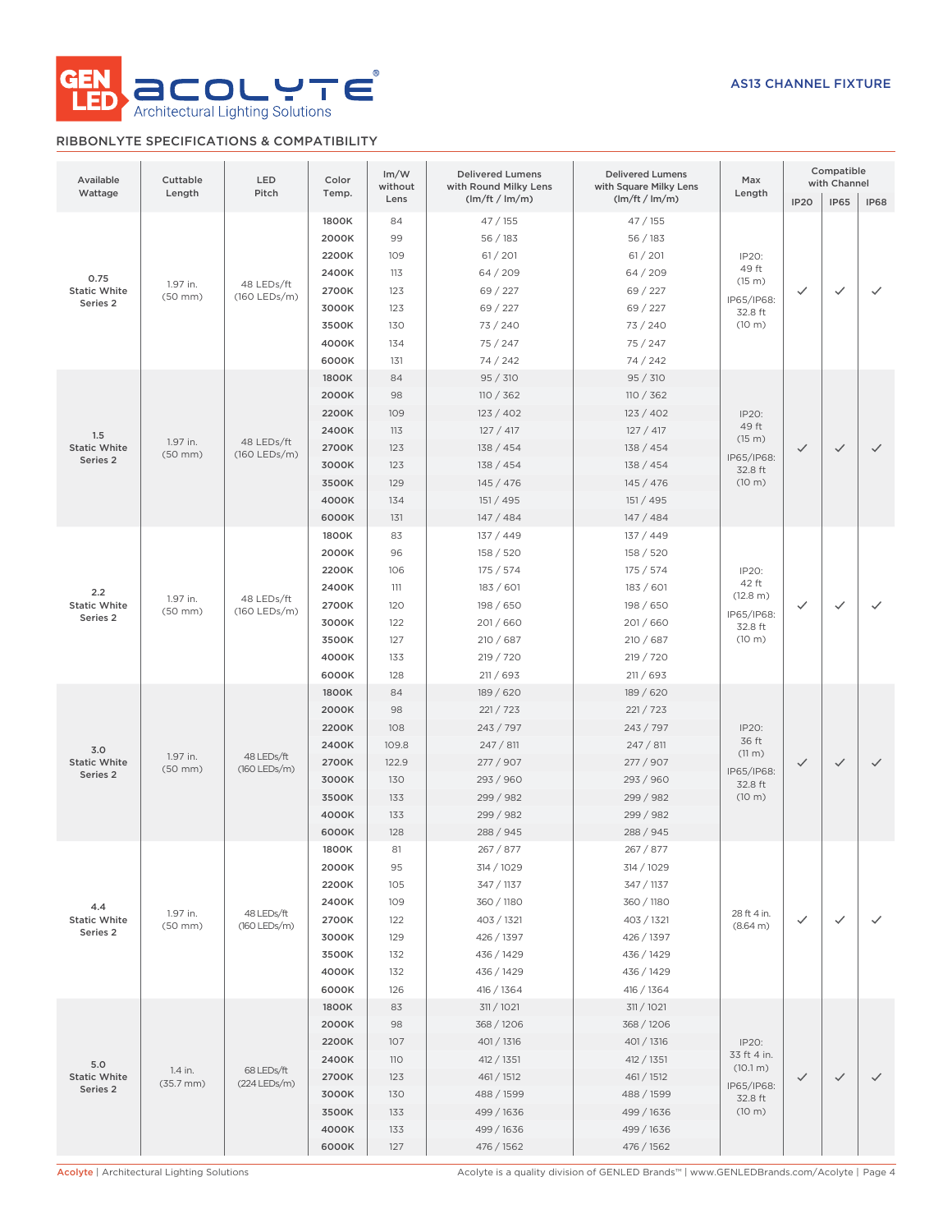

# RIBBONLYTE SPECIFICATIONS & COMPATIBILITY

| Available<br>Wattage                               | Cuttable<br>Length               | LED<br>Pitch                 | Color<br>Temp.                                                                | Im/W<br>without<br>Lens                                       | <b>Delivered Lumens</b><br>with Round Milky Lens<br>(lm/ft / lm/m)                                                         | <b>Delivered Lumens</b><br>with Square Milky Lens<br>(lm/ft / lm/m)                                                        | Max<br>Length                                                       | Compatible<br>with Channel<br>IP20<br><b>IP65</b><br><b>IP68</b> |              |              |  |
|----------------------------------------------------|----------------------------------|------------------------------|-------------------------------------------------------------------------------|---------------------------------------------------------------|----------------------------------------------------------------------------------------------------------------------------|----------------------------------------------------------------------------------------------------------------------------|---------------------------------------------------------------------|------------------------------------------------------------------|--------------|--------------|--|
| 0.75<br><b>Static White</b><br>Series <sub>2</sub> | 1.97 in.<br>$(50$ mm $)$         | 48 LEDs/ft<br>(160 LEDs/m)   | 1800K<br>2000K<br>2200K<br>2400K<br>2700K<br>3000K<br>3500K<br>4000K<br>6000K | 84<br>99<br>109<br>113<br>123<br>123<br>130<br>134<br>131     | 47/155<br>56 / 183<br>61 / 201<br>64 / 209<br>69 / 227<br>69 / 227<br>73 / 240<br>75 / 247<br>74 / 242                     | 47 / 155<br>56 / 183<br>61 / 201<br>64 / 209<br>69 / 227<br>69 / 227<br>73 / 240<br>75 / 247<br>74 / 242                   | IP20:<br>49 ft<br>(15 m)<br>IP65/IP68:<br>32.8 ft<br>(10 m)         | $\checkmark$                                                     | ✓            | ✓            |  |
| 1.5<br><b>Static White</b><br>Series 2             | 1.97 in.<br>$(50$ mm $)$         | 48 LEDs/ft<br>$(160$ LEDs/m) | 1800K<br>2000K<br>2200K<br>2400K<br>2700K<br>3000K<br>3500K<br>4000K<br>6000K | 84<br>98<br>109<br>113<br>123<br>123<br>129<br>134<br>131     | 95 / 310<br>110 / 362<br>123 / 402<br>127 / 417<br>138 / 454<br>138 / 454<br>145 / 476<br>151 / 495<br>147 / 484           | 95 / 310<br>110 / 362<br>123/402<br>127 / 417<br>138 / 454<br>138 / 454<br>145/476<br>151 / 495<br>147/484                 | IP20:<br>49 ft<br>(15 m)<br>IP65/IP68:<br>32.8 ft<br>(10 m)         | $\checkmark$                                                     | $\checkmark$ | $\checkmark$ |  |
| 2.2<br><b>Static White</b><br>Series 2             | 1.97 in.<br>$(50$ mm $)$         | 48 LEDs/ft<br>(160 LEDs/m)   | 1800K<br>2000K<br>2200K<br>2400K<br>2700K<br>3000K<br>3500K<br>4000K<br>6000K | 83<br>96<br>106<br>111<br>120<br>122<br>127<br>133<br>128     | 137 / 449<br>158 / 520<br>175/574<br>183 / 601<br>198 / 650<br>201/660<br>210 / 687<br>219 / 720<br>211 / 693              | 137 / 449<br>158 / 520<br>175 / 574<br>183 / 601<br>198 / 650<br>201/660<br>210 / 687<br>219 / 720<br>211 / 693            | IP20:<br>42 ft<br>(12.8 m)<br>IP65/IP68:<br>32.8 ft<br>(10 m)       | $\checkmark$                                                     |              | ✓            |  |
| 3.0<br><b>Static White</b><br>Series 2             | 1.97 in.<br>$(50$ mm $)$         | 48 LEDs/ft<br>(160 LEDs/m)   | 1800K<br>2000K<br>2200K<br>2400K<br>2700K<br>3000K<br>3500K<br>4000K<br>6000K | 84<br>98<br>108<br>109.8<br>122.9<br>130<br>133<br>133<br>128 | 189 / 620<br>221 / 723<br>243 / 797<br>247 / 811<br>277 / 907<br>293 / 960<br>299 / 982<br>299 / 982<br>288 / 945          | 189 / 620<br>221 / 723<br>243 / 797<br>247/811<br>277 / 907<br>293 / 960<br>299 / 982<br>299 / 982<br>288 / 945            | IP20:<br>36 ft<br>(11 m)<br>IP65/IP68:<br>32.8 ft<br>(10 m)         | $\checkmark$                                                     | $\checkmark$ | $\checkmark$ |  |
| 4.4<br><b>Static White</b><br>Series 2             | 1.97 in.<br>$(50$ mm $)$         | 48 LEDs/ft<br>(160 LEDs/m)   | 1800K<br>2000K<br>2200K<br>2400K<br>2700K<br>3000K<br>3500K<br>4000K<br>6000K | 81<br>95<br>105<br>109<br>122<br>129<br>132<br>132<br>126     | 267 / 877<br>314 / 1029<br>347 / 1137<br>360 / 1180<br>403 / 1321<br>426 / 1397<br>436 / 1429<br>436 / 1429<br>416 / 1364  | 267 / 877<br>314 / 1029<br>347 / 1137<br>360 / 1180<br>403 / 1321<br>426 / 1397<br>436 / 1429<br>436 / 1429<br>416 / 1364  | 28 ft 4 in.<br>(8.64 m)                                             | ✓                                                                | ✓            | $\checkmark$ |  |
| 5.0<br><b>Static White</b><br>Series 2             | 1.4 in.<br>$(35.7 \, \text{mm})$ | 68 LEDs/ft<br>(224 LEDs/m)   | 1800K<br>2000K<br>2200K<br>2400K<br>2700K<br>3000K<br>3500K<br>4000K<br>6000K | 83<br>98<br>107<br>110<br>123<br>130<br>133<br>133<br>127     | 311 / 1021<br>368 / 1206<br>401 / 1316<br>412 / 1351<br>461 / 1512<br>488 / 1599<br>499 / 1636<br>499 / 1636<br>476 / 1562 | 311 / 1021<br>368 / 1206<br>401 / 1316<br>412 / 1351<br>461 / 1512<br>488 / 1599<br>499 / 1636<br>499 / 1636<br>476 / 1562 | IP20:<br>33 ft 4 in.<br>(10.1 m)<br>IP65/IP68:<br>32.8 ft<br>(10 m) | $\checkmark$                                                     |              | $\checkmark$ |  |

Acolyte | Architectural Lighting Solutions Acolyte is a quality division of GENLED Brands™ | www.GENLEDBrands.com/Acolyte | Page 4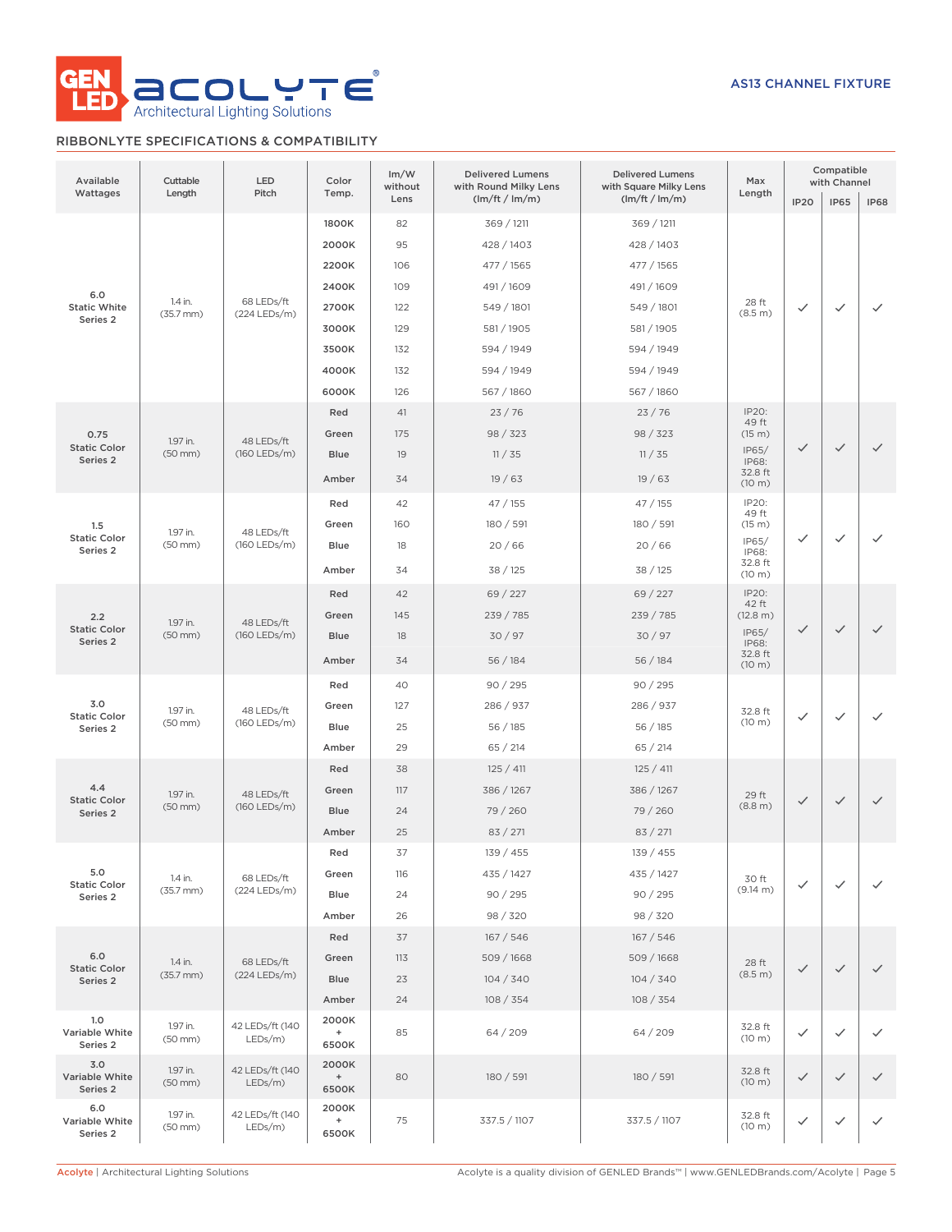

# RIBBONLYTE SPECIFICATIONS & COMPATIBILITY

| Available<br>Wattages                      | Cuttable<br>Length        | LED<br>Pitch                  | Color<br>Temp.              | Im/W<br>without<br>Lens | <b>Delivered Lumens</b><br>with Round Milky Lens<br>(lm/ft / lm/m) | <b>Delivered Lumens</b><br>with Square Milky Lens<br>(lm/ft / lm/m) | Max<br>Length             | <b>IP20</b>  | Compatible<br>with Channel<br><b>IP65</b> | <b>IP68</b>  |
|--------------------------------------------|---------------------------|-------------------------------|-----------------------------|-------------------------|--------------------------------------------------------------------|---------------------------------------------------------------------|---------------------------|--------------|-------------------------------------------|--------------|
|                                            |                           |                               | 1800K<br>2000K              | 82<br>95                | 369 / 1211<br>428 / 1403                                           | 369 / 1211<br>428 / 1403                                            |                           |              |                                           |              |
|                                            |                           |                               | 2200K                       | 106                     | 477 / 1565                                                         | 477 / 1565                                                          |                           |              |                                           |              |
| 6.0                                        |                           | 68 LEDs/ft<br>(224 LEDs/m)    | 2400K                       | 109                     | 491 / 1609                                                         | 491 / 1609                                                          |                           |              |                                           |              |
| <b>Static White</b>                        | 1.4 in.<br>$(35.7$ mm $)$ |                               | 2700K                       | 122                     | 549 / 1801                                                         | 549 / 1801                                                          | 28 ft<br>(8.5 m)          | $\checkmark$ | $\checkmark$                              | $\checkmark$ |
| Series <sub>2</sub>                        |                           |                               | 3000K                       | 129                     | 581 / 1905                                                         | 581 / 1905                                                          |                           |              |                                           |              |
|                                            |                           |                               | 3500K                       | 132                     | 594 / 1949                                                         | 594 / 1949                                                          |                           |              |                                           |              |
|                                            |                           |                               | 4000K                       | 132                     | 594 / 1949                                                         | 594 / 1949                                                          |                           |              |                                           |              |
|                                            |                           |                               | 6000K                       | 126                     | 567 / 1860                                                         | 567 / 1860                                                          |                           |              |                                           |              |
|                                            |                           |                               | Red                         | 41                      | 23/76                                                              | 23/76                                                               | IP20:<br>49 ft            |              |                                           |              |
| 0.75<br><b>Static Color</b>                | 1.97 in.                  | 48 LEDs/ft                    | Green                       | 175                     | 98 / 323                                                           | 98 / 323                                                            | (15 m)                    |              |                                           |              |
| Series <sub>2</sub>                        | $(50$ mm $)$              | (160 LEDs/m)                  | Blue                        | 19                      | 11 / 35                                                            | 11 / 35                                                             | IP65/<br>IP68:            | $\checkmark$ | $\checkmark$                              | $\checkmark$ |
|                                            |                           |                               | Amber                       | 34                      | 19/63                                                              | 19/63                                                               | 32.8 ft<br>(10 m)         |              |                                           |              |
|                                            |                           |                               | Red                         | 42                      | 47/155                                                             | 47/155                                                              | IP20:                     |              |                                           |              |
| 1.5                                        | 1.97 in.                  | 48 LEDs/ft                    | Green                       | 160                     | 180 / 591                                                          | 180 / 591                                                           | 49 ft<br>(15 m)           |              |                                           |              |
| <b>Static Color</b><br>Series <sub>2</sub> | $(50$ mm $)$              | (160 LEDs/m)                  | Blue                        | 18                      | 20/66                                                              | 20/66                                                               | IP65/<br>IP68:            | $\checkmark$ | $\checkmark$                              | ✓            |
|                                            |                           |                               | Amber                       | 34                      | 38 / 125                                                           | 38 / 125                                                            | 32.8 ft<br>(10 m)         |              |                                           |              |
|                                            | 1.97 in.<br>$(50$ mm $)$  | 48 LEDs/ft<br>(160 LEDs/m)    | Red                         | 42                      | 69 / 227                                                           | 69 / 227                                                            | IP20:                     |              |                                           |              |
| 2.2<br><b>Static Color</b><br>Series 2     |                           |                               | Green                       | 145                     | 239 / 785                                                          | 239 / 785                                                           | 42 ft<br>(12.8 m)         |              |                                           | $\checkmark$ |
|                                            |                           |                               | Blue                        | 18                      | 30/97                                                              | 30/97                                                               | IP65/<br>IP68:<br>32.8 ft | $\checkmark$ | $\checkmark$                              |              |
|                                            |                           |                               | Amber                       | 34                      | 56/184                                                             | 56/184                                                              |                           |              |                                           |              |
|                                            |                           |                               | Red                         | 40                      | 90 / 295                                                           | 90 / 295                                                            | (10 m)                    |              |                                           |              |
| 3.0<br><b>Static Color</b>                 | 1.97 in.<br>$(50$ mm $)$  | 48 LEDs/ft<br>(160 LEDs/m)    | Green                       | 127                     | 286 / 937                                                          | 286 / 937                                                           | 32.8 ft<br>(10 m)         |              | $\checkmark$                              |              |
|                                            |                           |                               | Blue                        | 25                      | 56 / 185                                                           | 56/185                                                              |                           | $\checkmark$ |                                           | ✓            |
| Series <sub>2</sub>                        |                           |                               | Amber                       | 29                      | 65 / 214                                                           | 65 / 214                                                            |                           |              |                                           |              |
|                                            |                           |                               | Red                         | 38                      | 125 / 411                                                          | 125 / 411                                                           |                           |              |                                           |              |
| 4.4                                        | 1.97 in.                  | 48 LEDs/ft                    | Green                       | 117                     | 386 / 1267                                                         | 386 / 1267                                                          |                           |              |                                           |              |
| <b>Static Color</b><br>Series 2            | $(50$ mm $)$              | (160 LEDs/m)                  | Blue                        | 24                      | 79 / 260                                                           | 79 / 260                                                            | 29 ft<br>(8.8 m)          | $\checkmark$ | $\checkmark$                              | $\checkmark$ |
|                                            |                           |                               | Amber                       | 25                      | 83 / 271                                                           | 83 / 271                                                            |                           |              |                                           |              |
|                                            |                           |                               | Red                         | 37                      | 139 / 455                                                          | 139 / 455                                                           |                           |              |                                           |              |
| 5.0                                        | 1.4 in.                   | 68 LEDs/ft                    | Green                       | 116                     | 435 / 1427                                                         | 435 / 1427                                                          | 30 ft                     |              |                                           | $\checkmark$ |
| <b>Static Color</b><br>Series 2            | $(35.7$ mm $)$            | (224 LEDs/m)                  | Blue                        | 24                      | 90 / 295                                                           | 90 / 295                                                            | (9.14 m)                  | $\checkmark$ | $\checkmark$                              |              |
|                                            |                           |                               | Amber                       | 26                      | 98 / 320                                                           | 98 / 320                                                            |                           |              |                                           |              |
|                                            |                           |                               | Red                         | 37                      | 167 / 546                                                          | 167 / 546                                                           |                           |              |                                           |              |
| 6.0                                        | 1.4 in.                   | 68 LEDs/ft                    | Green                       | 113                     | 509 / 1668                                                         | 509/1668                                                            | 28 ft                     |              |                                           |              |
| <b>Static Color</b><br>Series 2            | $(35.7$ mm $)$            | (224 LEDs/m)                  | Blue                        | 23                      | 104 / 340                                                          | 104 / 340                                                           | (8.5 m)                   | $\checkmark$ | $\checkmark$                              | $\checkmark$ |
|                                            |                           |                               | Amber                       | 24                      | 108 / 354                                                          | 108 / 354                                                           |                           |              |                                           |              |
| 1.0<br>Variable White<br>Series 2          | 1.97 in.<br>(50 mm)       | 42 LEDs/ft (140<br>LEDs/m)    | 2000K<br>$+$<br>6500K       | 85                      | 64 / 209                                                           | 64/209                                                              | 32.8 ft<br>(10 m)         | $\checkmark$ | $\checkmark$                              | $\checkmark$ |
| 3.0<br>Variable White<br>Series 2          | 1.97 in.<br>(50 mm)       | 42 LEDs/ft (140<br>LEDs/m)    | 2000K<br>$+$<br>6500K       | 80                      | 180 / 591                                                          | 180 / 591                                                           | 32.8 ft<br>(10 m)         | $\checkmark$ | $\checkmark$                              | $\checkmark$ |
| 6.0<br>Variable White<br>Series 2          | 1.97 in.<br>(50 mm)       | 42 LEDs/ft (140<br>$LEDs/m$ ) | 2000K<br>$\ddot{}$<br>6500K | 75                      | 337.5 / 1107                                                       | 337.5 / 1107                                                        | 32.8 ft<br>(10 m)         | $\checkmark$ | ✓                                         | ✓            |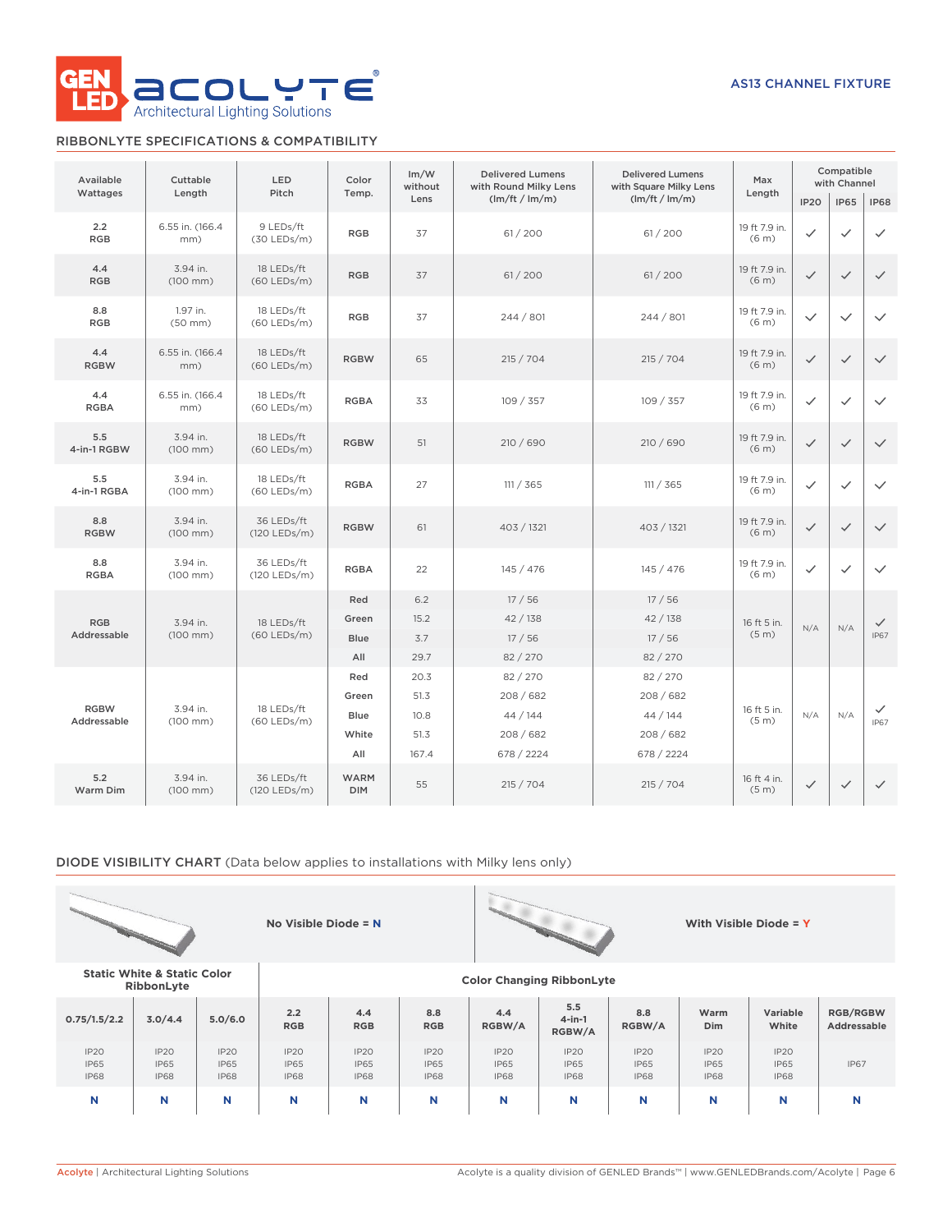

# RIBBONLYTE SPECIFICATIONS & COMPATIBILITY

| Available          | Cuttable                 | LED<br>Pitch                |                           | Im/W<br>without | <b>Delivered Lumens</b><br>with Round Milky Lens | <b>Delivered Lumens</b><br>with Square Milky Lens | Max                                | Compatible<br>with Channel |              |              |
|--------------------|--------------------------|-----------------------------|---------------------------|-----------------|--------------------------------------------------|---------------------------------------------------|------------------------------------|----------------------------|--------------|--------------|
| Wattages           | Length                   |                             | Temp.                     | Lens            | (lm/ft / lm/m)                                   | (lm/ft / lm/m)                                    | Length                             | <b>IP20</b>                | <b>IP65</b>  | <b>IP68</b>  |
| 2.2<br><b>RGB</b>  | 6.55 in. (166.4<br>mm)   | 9 LEDs/ft<br>$(30$ LEDs/m)  | <b>RGB</b>                | 37              | 61 / 200                                         | 61 / 200                                          | 19 ft 7.9 in.<br>(6 <sub>m</sub> ) | $\checkmark$               | $\checkmark$ | $\checkmark$ |
| 4.4<br><b>RGB</b>  | 3.94 in.<br>(100 mm)     | 18 LEDs/ft<br>(60 LEDs/m)   | <b>RGB</b>                | 37              | 61 / 200                                         | 61/200                                            | 19 ft 7.9 in.<br>(6 <sub>m</sub> ) | $\checkmark$               | $\checkmark$ | $\checkmark$ |
| 8.8<br><b>RGB</b>  | 1.97 in.<br>$(50$ mm $)$ | 18 LEDs/ft<br>(60 LEDs/m)   | <b>RGB</b>                | 37              | 244 / 801                                        | 244 / 801                                         | 19 ft 7.9 in.<br>(6 <sub>m</sub> ) | $\checkmark$               | $\checkmark$ | $\checkmark$ |
| 4.4<br><b>RGBW</b> | 6.55 in. (166.4<br>mm)   | 18 LEDs/ft<br>$(60$ LEDs/m) | <b>RGBW</b>               | 65              | 215 / 704                                        | 215 / 704                                         | 19 ft 7.9 in.<br>(6 <sub>m</sub> ) | $\checkmark$               | $\checkmark$ | $\checkmark$ |
| 4.4<br><b>RGBA</b> | 6.55 in. (166.4)<br>mm)  | 18 LEDs/ft<br>$(60$ LEDs/m) | <b>RGBA</b>               | 33              | 109 / 357                                        | 109 / 357                                         | 19 ft 7.9 in.<br>(6 <sub>m</sub> ) | $\checkmark$               | $\checkmark$ | $\checkmark$ |
| 5.5<br>4-in-1 RGBW | 3.94 in.<br>(100 mm)     | 18 LEDs/ft<br>$(60$ LEDs/m) | <b>RGBW</b>               | 51              | 210 / 690                                        | 210 / 690                                         | 19 ft 7.9 in.<br>(6 <sub>m</sub> ) | $\checkmark$               | $\checkmark$ | $\checkmark$ |
| 5.5<br>4-in-1 RGBA | 3.94 in.<br>(100 mm)     | 18 LEDs/ft<br>$(60$ LEDs/m) | <b>RGBA</b>               | 27              | 111 / 365                                        | 111 / 365                                         | 19 ft 7.9 in.<br>(6 <sub>m</sub> ) | $\checkmark$               | $\checkmark$ | $\checkmark$ |
| 8.8<br><b>RGBW</b> | 3.94 in.<br>(100 mm)     | 36 LEDs/ft<br>(120 LEDs/m)  | <b>RGBW</b>               | 61              | 403 / 1321                                       | 403 / 1321                                        | 19 ft 7.9 in.<br>(6 <sub>m</sub> ) | $\checkmark$               | $\checkmark$ | $\checkmark$ |
| 8.8<br><b>RGBA</b> | 3.94 in.<br>(100 mm)     | 36 LEDs/ft<br>(120 LEDs/m)  | <b>RGBA</b>               | 22              | 145 / 476                                        | 145 / 476                                         | 19 ft 7.9 in.<br>(6 <sub>m</sub> ) | $\checkmark$               | $\checkmark$ | $\checkmark$ |
|                    |                          |                             | Red                       | 6.2             | 17/56                                            | 17/56                                             |                                    |                            |              |              |
| <b>RGB</b>         | 3.94 in.                 | 18 LEDs/ft                  | Green                     | 15.2            | 42 / 138                                         | 42/138                                            | 16 ft 5 in.                        | N/A                        | N/A          | $\checkmark$ |
| Addressable        | (100 mm)                 | (60 LEDs/m)                 | Blue                      | 3.7             | 17/56                                            | 17/56                                             | (5 <sub>m</sub> )                  |                            |              | <b>IP67</b>  |
|                    |                          |                             | All                       | 29.7            | 82 / 270                                         | 82 / 270                                          |                                    |                            |              |              |
|                    |                          |                             | Red                       | 20.3            | 82 / 270                                         | 82 / 270                                          |                                    |                            |              |              |
| <b>RGBW</b>        | 3.94 in.                 | 18 LEDs/ft                  | Green                     | 51.3            | 208 / 682                                        | 208 / 682                                         | 16 ft 5 in.                        |                            |              | $\checkmark$ |
| Addressable        | $(100$ mm $)$            | $(60$ LEDs/m)               | Blue<br>White             | 10.8<br>51.3    | 44 / 144<br>208 / 682                            | 44 / 144<br>208/682                               | (5 <sub>m</sub> )                  | N/A                        | N/A          | <b>IP67</b>  |
|                    |                          |                             | All                       | 167.4           | 678 / 2224                                       | 678 / 2224                                        |                                    |                            |              |              |
| 5.2<br>Warm Dim    | 3.94 in.<br>(100 mm)     | 36 LEDs/ft<br>(120 LEDs/m)  | <b>WARM</b><br><b>DIM</b> | 55              | 215 / 704                                        | 215 / 704                                         | 16 ft 4 in.<br>(5 <sub>m</sub> )   | $\checkmark$               | $\checkmark$ | $\checkmark$ |

# DIODE VISIBILITY CHART (Data below applies to installations with Milky lens only)





**RibbonLyte Color Changing RibbonLyte**

**Static White & Static Color**

| . <u>.</u>                         |                                    |                                                |                                                |                                    |                                    |                                    |                                    |                                    |                                    |                                                |                                |
|------------------------------------|------------------------------------|------------------------------------------------|------------------------------------------------|------------------------------------|------------------------------------|------------------------------------|------------------------------------|------------------------------------|------------------------------------|------------------------------------------------|--------------------------------|
| 0.75/1.5/2.2                       | 3.0/4.4                            | 5.0/6.0                                        | 2.2<br><b>RGB</b>                              | 4.4<br><b>RGB</b>                  | 8.8<br><b>RGB</b>                  | 4.4<br>RGBW/A                      | 5.5<br>$4$ -in-1<br>RGBW/A         | 8.8<br>RGBW/A                      | Warm<br>Dim                        | Variable<br>White                              | <b>RGB/RGBW</b><br>Addressable |
| IP20<br><b>IP65</b><br><b>IP68</b> | IP2O<br><b>IP65</b><br><b>IP68</b> | IP <sub>20</sub><br><b>IP65</b><br><b>IP68</b> | IP <sub>20</sub><br><b>IP65</b><br><b>IP68</b> | IP2O<br><b>IP65</b><br><b>IP68</b> | IP2O<br><b>IP65</b><br><b>IP68</b> | IP2O<br><b>IP65</b><br><b>IP68</b> | IP2O<br><b>IP65</b><br><b>IP68</b> | IP2O<br><b>IP65</b><br><b>IP68</b> | IP2O<br><b>IP65</b><br><b>IP68</b> | IP <sub>20</sub><br><b>IP65</b><br><b>IP68</b> | <b>IP67</b>                    |
| N                                  | N                                  |                                                | N                                              | N                                  | N                                  | N                                  |                                    | N                                  |                                    |                                                | N                              |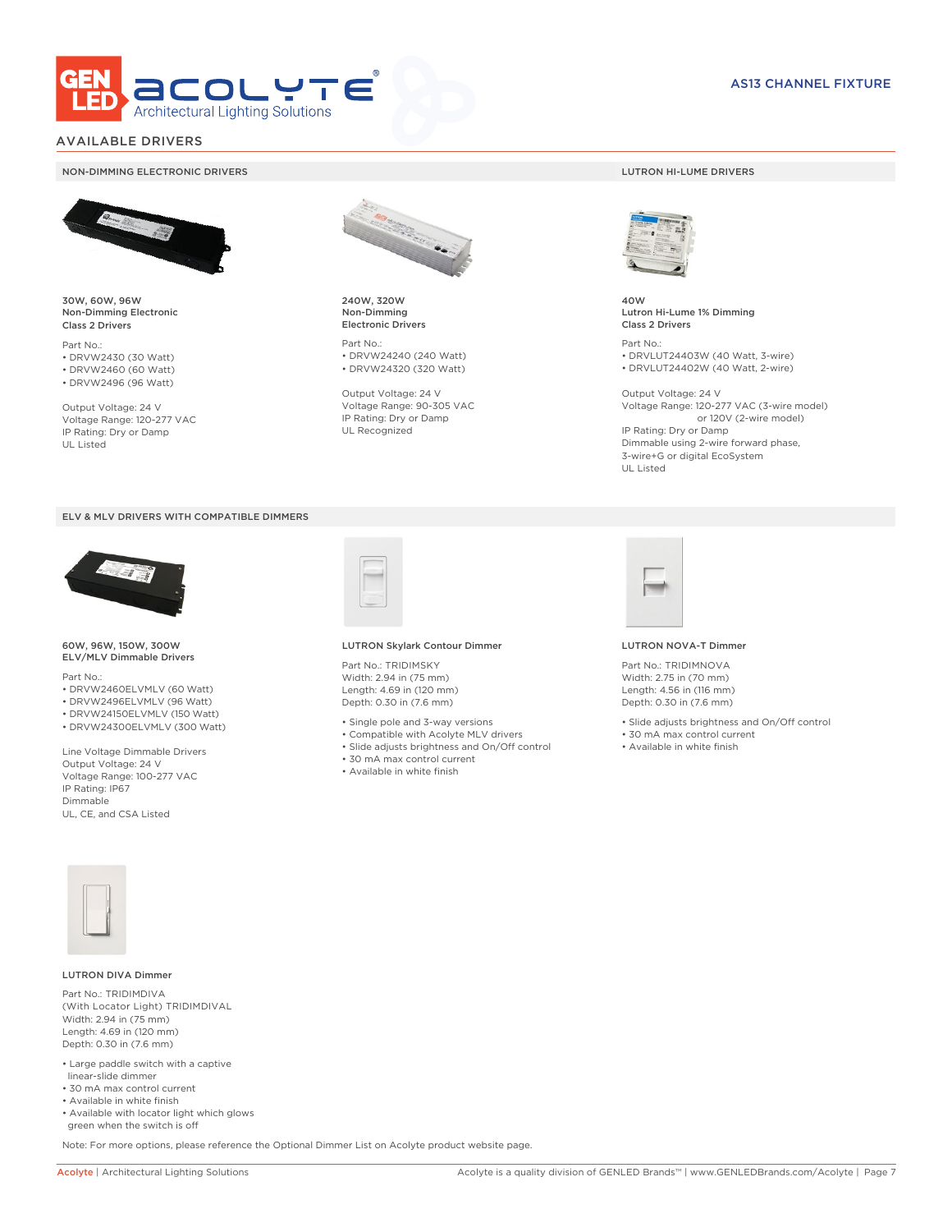

# AVAILABLE DRIVERS

### NON-DIMMING ELECTRONIC DRIVERS LUTRON HI-LUME DRIVERS



30W, 60W, 96W Non-Dimming Electronic Class 2 Drivers

Part No.: • DRVW2430 (30 Watt) • DRVW2460 (60 Watt)

• DRVW2496 (96 Watt)

Output Voltage: 24 V Voltage Range: 120-277 VAC IP Rating: Dry or Damp UL Listed





60W, 96W, 150W, 300W ELV/MLV Dimmable Drivers

Part No.:

- DRVW2460ELVMLV (60 Watt)
- DRVW2496ELVMLV (96 Watt)
- DRVW24150ELVMLV (150 Watt)
- DRVW24300ELVMLV (300 Watt)

Line Voltage Dimmable Drivers Output Voltage: 24 V Voltage Range: 100-277 VAC IP Rating: IP67 Dimmable UL, CE, and CSA Listed



240W, 320W Non-Dimming Electronic Drivers

Part No.: • DRVW24240 (240 Watt) • DRVW24320 (320 Watt)

Output Voltage: 24 V Voltage Range: 90-305 VAC IP Rating: Dry or Damp UL Recognized



40W Lutron Hi-Lume 1% Dimming Class 2 Drivers

Part No.: • DRVLUT24403W (40 Watt, 3-wire) • DRVLUT24402W (40 Watt, 2-wire)

Output Voltage: 24 V Voltage Range: 120-277 VAC (3-wire model) or 120V (2-wire model) IP Rating: Dry or Damp Dimmable using 2-wire forward phase, 3-wire+G or digital EcoSystem UL Listed



### LUTRON Skylark Contour Dimmer

Part No.: TRIDIMSKY Width: 2.94 in (75 mm) Length: 4.69 in (120 mm) Depth: 0.30 in (7.6 mm)

- Single pole and 3-way versions
- Compatible with Acolyte MLV drivers
- Slide adjusts brightness and On/Off control
- 30 mA max control current
- Available in white finish



### LUTRON NOVA-T Dimmer

Part No.: TRIDIMNOVA Width: 2.75 in (70 mm) Length: 4.56 in (116 mm) Depth: 0.30 in (7.6 mm)

- Slide adjusts brightness and On/Off control
- 30 mA max control current
- Available in white finish



### LUTRON DIVA Dimmer

Part No.: TRIDIMDIVA (With Locator Light) TRIDIMDIVAL Width: 2.94 in (75 mm) Length: 4.69 in (120 mm) Depth: 0.30 in (7.6 mm)

- Large paddle switch with a captive linear-slide dimmer
- 30 mA max control current
- Available in white finish
- Available with locator light which glows green when the switch is off

Note: For more options, please reference the Optional Dimmer List on Acolyte product website page.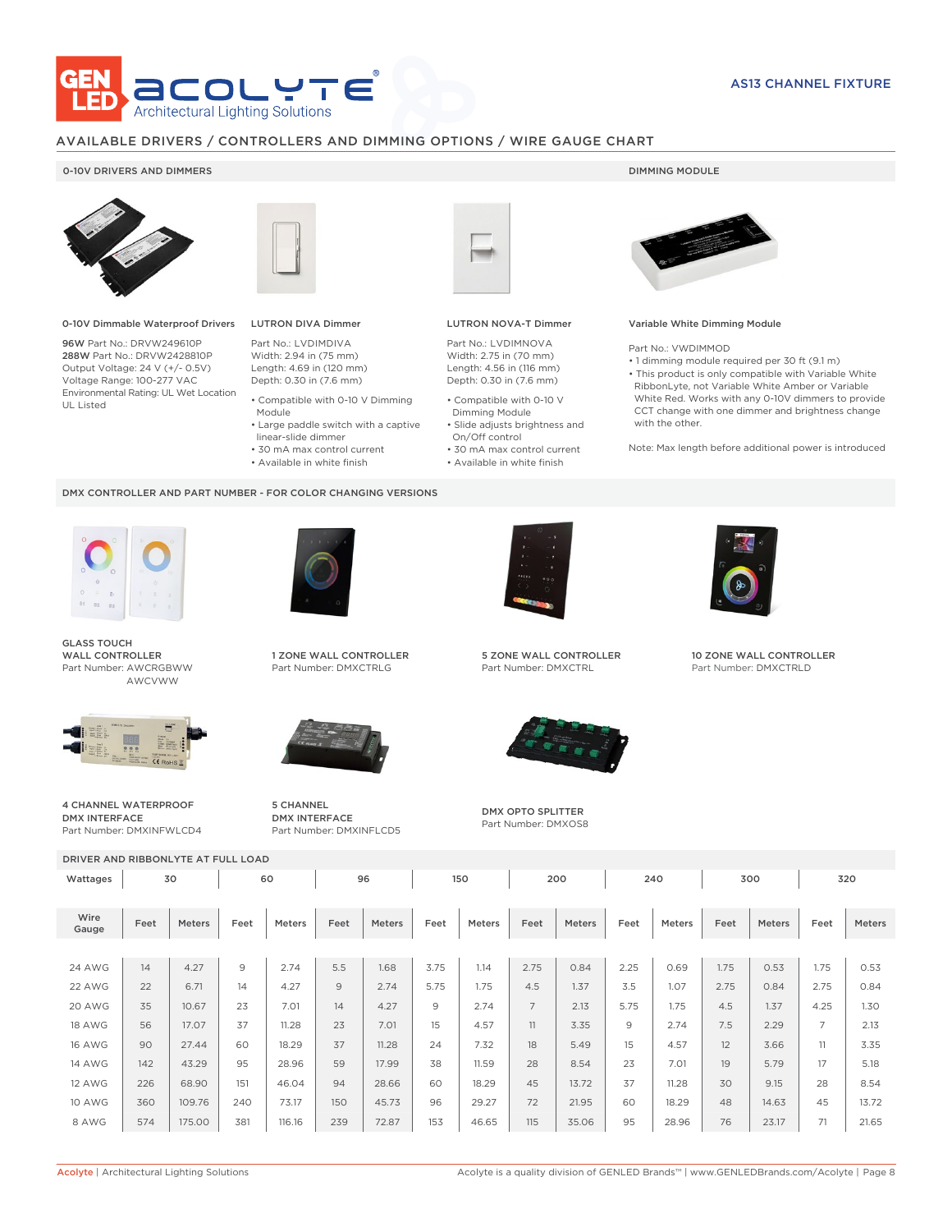

# AVAILABLE DRIVERS / CONTROLLERS AND DIMMING OPTIONS / WIRE GAUGE CHART

### 0-10V DRIVERS AND DIMMERS **DIMMING MODULE**



0-10V Dimmable Waterproof Drivers

96W Part No.: DRVW249610P 288W Part No.: DRVW2428810P Output Voltage: 24 V (+/- 0.5V) Voltage Range: 100-277 VAC Environmental Rating: UL Wet Location UL Listed



# LUTRON DIVA Dimmer

Part No.: LVDIMDIVA Width: 2.94 in (75 mm) Length: 4.69 in (120 mm) Depth: 0.30 in (7.6 mm)

- Compatible with 0-10 V Dimming Module
- Large paddle switch with a captive
- linear-slide dimmer
- 30 mA max control current
- Available in white finish

### DMX CONTROLLER AND PART NUMBER - FOR COLOR CHANGING VERSIONS



GLASS TOUCH WALL CONTROLLER Part Number: AWCRGBWW AWCVWW



4 CHANNEL WATERPROOF DMX INTERFACE Part Number: DMXINFWLCD4



1 ZONE WALL CONTROLLER Part Number: DMXCTRLG



5 CHANNEL DMX INTERFACE Part Number: DMXINFLCD5



### LUTRON NOVA-T Dimmer

Part No.: LVDIMNOVA Width: 2.75 in (70 mm) Length: 4.56 in (116 mm) Depth: 0.30 in (7.6 mm)

- Compatible with 0-10 V Dimming Module
- Slide adjusts brightness and On/Off control
- 30 mA max control current • Available in white finish
	-



### Variable White Dimming Module

Part No.: VWDIMMOD

• 1 dimming module required per 30 ft (9.1 m) • This product is only compatible with Variable White RibbonLyte, not Variable White Amber or Variable White Red. Works with any 0-10V dimmers to provide CCT change with one dimmer and brightness change with the other.

Note: Max length before additional power is introduced



5 ZONE WALL CONTROLLER Part Number: DMXCTRL



DMX OPTO SPLITTER Part Number: DMXOS8



10 ZONE WALL CONTROLLER Part Number: DMXCTRLD

DRIVER AND RIBBONLYTE AT FULL LOAD Wattages 30 | 60 | 96 | 150 | 200 | 240 | 300 | 320 Wire Gauge Feet Meters Feet Meters Feet Meters Feet Meters Feet Meters Feet Meters Feet Meters Feet Meters 24 AWG | 14 | 4.27 | 9 | 2.74 | 5.5 | 1.68 | 3.75 | 1.14 | 2.75 | 0.84 | 2.25 | 0.69 | 1.75 | 0.53 | 1.75 | 0.53 22 AWG | 22 | 6.71 | 14 | 4.27 | 9 | 2.74 | 5.75 | 1.75 | 4.5 | 1.37 | 3.5 | 1.07 | 2.75 | 0.84 | 2.75 | 0.84 20 AWG | 35 | 10.67 | 23 | 7.01 | 14 | 4.27 | 9 | 2.74 | 7 | 2.13 | 5.75 | 1.75 | 4.5 | 1.37 | 4.25 | 1.30 18 AWG | 56 | 17.07 | 37 | 11.28 | 23 | 7.01 | 15 | 4.57 | 11 | 3.35 | 9 | 2.74 | 7.5 | 2.29 | 7 | 2.13 16 AWG | 90 | 27.44 | 60 | 18.29 | 37 | 11.28 | 24 | 7.32 | 18 | 5.49 | 15 | 4.57 | 12 | 3.66 | 11 | 3.35 14 AWG | 142 | 43.29 | 95 | 28.96 | 59 | 17.99 | 38 | 11.59 | 28 | 8.54 | 23 | 7.01 | 19 | 5.79 | 17 | 5.18 12 AWG | 226 | 68.90 | 151 | 46.04 | 94 | 28.66 | 60 | 18.29 | 45 | 13.72 | 37 | 11.28 | 30 | 9.15 | 28 | 8.54 10 AWG | 360 | 109.76 | 240 | 73.17 | 150 | 45.73 | 96 | 29.27 | 72 | 21.95 | 60 | 18.29 | 48 | 14.63 | 45 | 13.72 8 AWG | 574 | 175.00 | 381 | 116.16 | 239 | 72.87 | 153 | 46.65 | 115 | 35.06 | 95 | 28.96 | 76 | 23.17 | 71 | 21.65